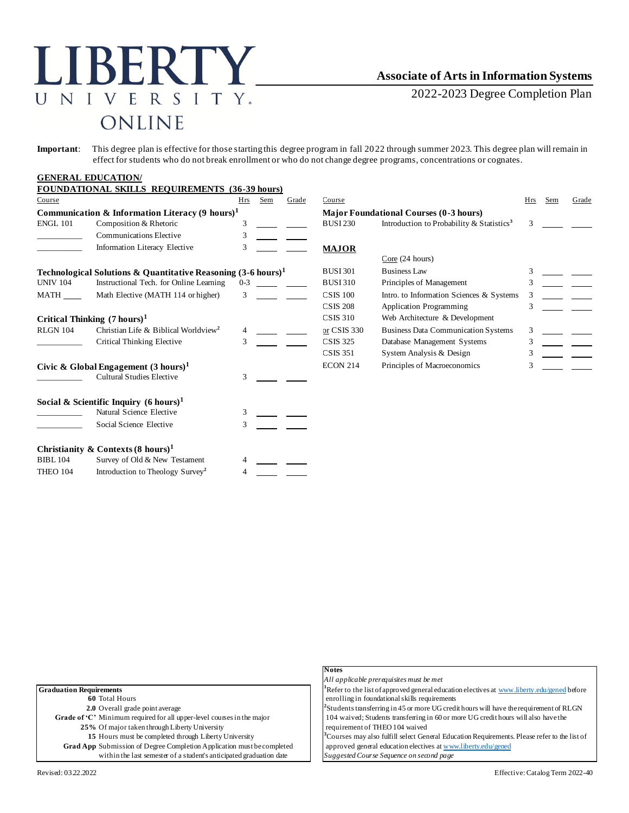# LIBERTY UNIVERSITY. ONLINE

## **Associate of Arts in Information Systems**

2022-2023 Degree Completion Plan

**Important**: This degree plan is effective for those starting this degree program in fall 2022 through summer 2023. This degree plan will remain in effect for students who do not break enrollment or who do not change degree programs, concentrations or cognates.

#### **GENERAL EDUCATION/**

|                                                                          | <b>FOUNDATIONAL SKILLS REQUIREMENTS (36-39 hours)</b>      |         |     |                 |                                |                                                       |     |     |       |
|--------------------------------------------------------------------------|------------------------------------------------------------|---------|-----|-----------------|--------------------------------|-------------------------------------------------------|-----|-----|-------|
| Course                                                                   |                                                            | Hrs     | Sem | Grade           | Course                         |                                                       | Hrs | Sem | Grade |
|                                                                          | Communication & Information Literacy $(9 \text{ hours})^1$ |         |     |                 |                                | <b>Major Foundational Courses (0-3 hours)</b>         |     |     |       |
| <b>ENGL 101</b>                                                          | Composition & Rhetoric                                     | 3       |     |                 | <b>BUSI 230</b>                | Introduction to Probability & Statistics <sup>3</sup> | 3   |     |       |
|                                                                          | <b>Communications Elective</b>                             | 3       |     |                 |                                |                                                       |     |     |       |
|                                                                          | Information Literacy Elective                              | 3       |     |                 | <b>MAJOR</b>                   |                                                       |     |     |       |
|                                                                          |                                                            |         |     |                 |                                | Core (24 hours)                                       |     |     |       |
| Technological Solutions & Quantitative Reasoning $(3-6 \text{ hours})^1$ |                                                            |         |     | <b>BUSI 301</b> | <b>Business Law</b>            | 3                                                     |     |     |       |
| <b>UNIV 104</b>                                                          | Instructional Tech. for Online Learning                    | $0 - 3$ |     |                 | <b>BUSI310</b>                 | Principles of Management                              |     |     |       |
| MATH                                                                     | Math Elective (MATH 114 or higher)                         | 3       |     |                 | <b>CSIS 100</b>                | Intro. to Information Sciences & Systems              |     |     |       |
|                                                                          |                                                            |         |     |                 | <b>CSIS 208</b>                | <b>Application Programming</b>                        |     |     |       |
| Critical Thinking $(7 \text{ hours})^1$                                  |                                                            |         |     | <b>CSIS 310</b> | Web Architecture & Development |                                                       |     |     |       |
| <b>RLGN 104</b>                                                          | Christian Life & Biblical Worldview <sup>2</sup>           |         |     |                 | or CSIS 330                    | <b>Business Data Communication Systems</b>            | 3   |     |       |
|                                                                          | Critical Thinking Elective                                 |         |     |                 | <b>CSIS 325</b>                | Database Management Systems                           |     |     |       |
|                                                                          |                                                            |         |     |                 | <b>CSIS 351</b>                | System Analysis & Design                              |     |     |       |
| Civic & Global Engagement $(3 \text{ hours})^1$                          |                                                            |         |     |                 | <b>ECON 214</b>                | Principles of Macroeconomics                          |     |     |       |
|                                                                          | <b>Cultural Studies Elective</b>                           | 3       |     |                 |                                |                                                       |     |     |       |
|                                                                          | Social & Scientific Inquiry $(6 \text{ hours})^1$          |         |     |                 |                                |                                                       |     |     |       |
|                                                                          | Natural Science Elective                                   | 3       |     |                 |                                |                                                       |     |     |       |
|                                                                          | Social Science Elective                                    | 3       |     |                 |                                |                                                       |     |     |       |
|                                                                          | Christianity & Contexts $(8 \text{ hours})^1$              |         |     |                 |                                |                                                       |     |     |       |
| <b>BIBL 104</b>                                                          | Survey of Old & New Testament                              |         |     |                 |                                |                                                       |     |     |       |
| <b>THEO 104</b>                                                          | Introduction to Theology Survey <sup>2</sup>               |         |     |                 |                                |                                                       |     |     |       |

|                                                                               | <b>Notes</b>                                                                                             |
|-------------------------------------------------------------------------------|----------------------------------------------------------------------------------------------------------|
|                                                                               | All applicable prerequisites must be met                                                                 |
| <b>Graduation Requirements</b>                                                | <sup>1</sup> Refer to the list of approved general education electives at www.liberty.edu/gened before   |
| 60 Total Hours                                                                | enrolling in foundational skills requirements                                                            |
| 2.0 Overall grade point average                                               | <sup>2</sup> Students transferring in 45 or more UG credit hours will have the requirement of RLGN       |
| Grade of 'C' Minimum required for all upper-level courses in the major        | 104 waived; Students transferring in 60 or more UG credit hours will also have the                       |
| 25% Of major taken through Liberty University                                 | requirement of THEO 104 waived                                                                           |
| 15 Hours must be completed through Liberty University                         | <sup>3</sup> Courses may also fulfill select General Education Requirements. Please refer to the list of |
| <b>Grad App</b> Submission of Degree Completion Application must be completed | approved general education electives at www.liberty.edu/gened                                            |
| within the last semester of a student's anticipated graduation date           | Suggested Course Sequence on second page                                                                 |
| Revised: 03.22.2022                                                           | Effective: Catalog Term 2022-40                                                                          |